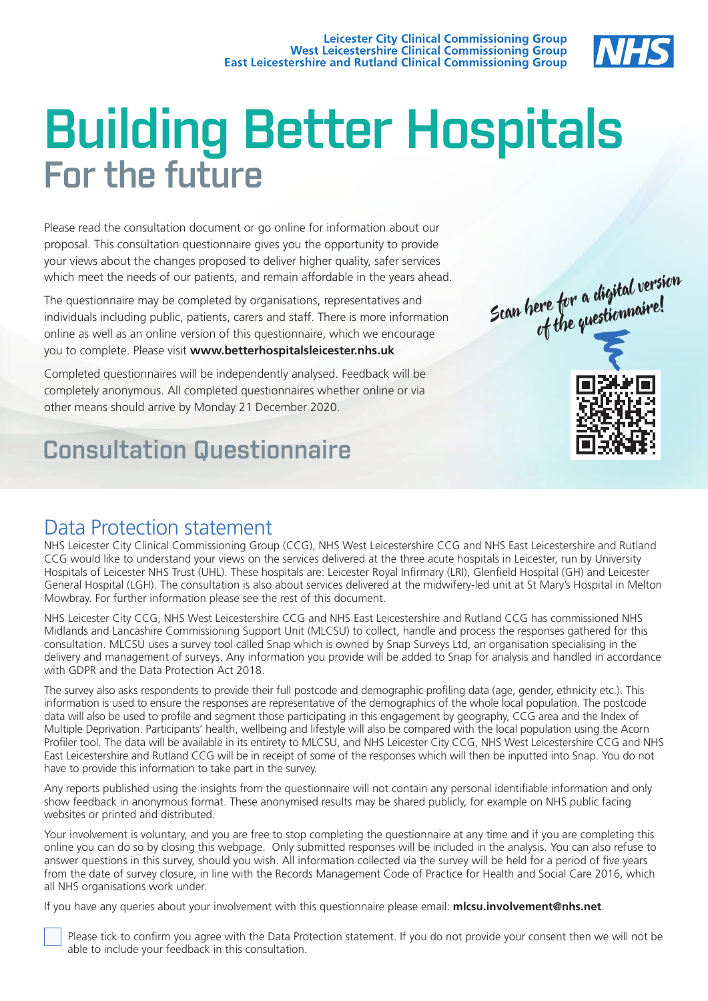

# For the future Building Better Hospitals

Please read the consultation document or go online for information about our proposal. This consultation questionnaire gives you the opportunity to provide your views about the changes proposed to deliver higher quality, safer services which meet the needs of our patients, and remain affordable in the years ahead.

The questionnaire may be completed by organisations, representatives and individuals including public, patients, carers and staff. There is more information online as well as an online version of this questionnaire, which we encourage you to complete. Please visit **www.betterhospitalsleicester.nhs.uk** 

Completed questionnaires will be independently analysed. Feedback will be completely anonymous. All completed questionnaires whether online or via other means should arrive by Monday 21 December 2020.

# Consultation Questionnaire



### Data Protection statement

NHS Leicester City Clinical Commissioning Group (CCG), NHS West Leicestershire CCG and NHS East Leicestershire and Rutland CCG would like to understand your views on the services delivered at the three acute hospitals in Leicester, run by University Hospitals of Leicester NHS Trust (UHL). These hospitals are: Leicester Royal Infirmary (LRI), Glenfield Hospital (GH) and Leicester General Hospital (LGH). The consultation is also about services delivered at the midwifery-led unit at St Mary's Hospital in Melton Mowbray. For further information please see the rest of this document.

NHS Leicester City CCG, NHS West Leicestershire CCG and NHS East Leicestershire and Rutland CCG has commissioned NHS Midlands and Lancashire Commissioning Support Unit (MLCSU) to collect, handle and process the responses gathered for this consultation. MLCSU uses a survey tool called Snap which is owned by Snap Surveys Ltd, an organisation specialising in the delivery and management of surveys. Any information you provide will be added to Snap for analysis and handled in accordance with GDPR and the Data Protection Act 2018.

The survey also asks respondents to provide their full postcode and demographic profiling data (age, gender, ethnicity etc.). This information is used to ensure the responses are representative of the demographics of the whole local population. The postcode data will also be used to profile and segment those participating in this engagement by geography, CCG area and the Index of Multiple Deprivation. Participants' health, wellbeing and lifestyle will also be compared with the local population using the Acorn Profiler tool. The data will be available in its entirety to MLCSU, and NHS Leicester City CCG, NHS West Leicestershire CCG and NHS East Leicestershire and Rutland CCG will be in receipt of some of the responses which will then be inputted into Snap. You do not have to provide this information to take part in the survey.

Any reports published using the insights from the questionnaire will not contain any personal identifiable information and only show feedback in anonymous format. These anonymised results may be shared publicly, for example on NHS public facing websites or printed and distributed.

Your involvement is voluntary, and you are free to stop completing the questionnaire at any time and if you are completing this online you can do so by closing this webpage. Only submitted responses will be included in the analysis. You can also refuse to answer questions in this survey, should you wish. All information collected via the survey will be held for a period of five years from the date of survey closure, in line with the Records Management Code of Practice for Health and Social Care 2016, which all NHS organisations work under.

If you have any queries about your involvement with this questionnaire please email: **mlcsu.involvement@nhs.net**.

 Please tick to confirm you agree with the Data Protection statement. If you do not provide your consent then we will not be able to include your feedback in this consultation.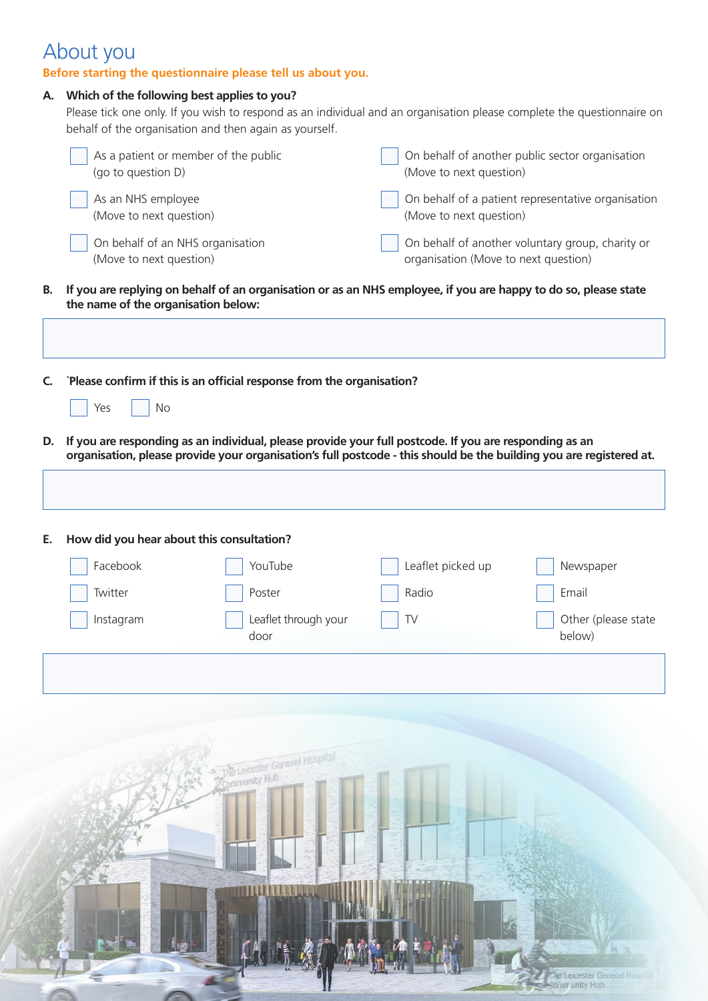## About you

### **Before starting the questionnaire please tell us about you.**

| Which of the following best applies to you?<br>А.<br>Please tick one only. If you wish to respond as an individual and an organisation please complete the questionnaire on<br>behalf of the organisation and then again as yourself. |                                                             |                                                                        |                                                                                                                                                                                                                               |                                                    |
|---------------------------------------------------------------------------------------------------------------------------------------------------------------------------------------------------------------------------------------|-------------------------------------------------------------|------------------------------------------------------------------------|-------------------------------------------------------------------------------------------------------------------------------------------------------------------------------------------------------------------------------|----------------------------------------------------|
|                                                                                                                                                                                                                                       | As a patient or member of the public<br>(go to question D)  |                                                                        | (Move to next question)                                                                                                                                                                                                       | On behalf of another public sector organisation    |
|                                                                                                                                                                                                                                       | As an NHS employee<br>(Move to next question)               |                                                                        | (Move to next question)                                                                                                                                                                                                       | On behalf of a patient representative organisation |
|                                                                                                                                                                                                                                       | On behalf of an NHS organisation<br>(Move to next question) |                                                                        | organisation (Move to next question)                                                                                                                                                                                          | On behalf of another voluntary group, charity or   |
| В.                                                                                                                                                                                                                                    | the name of the organisation below:                         |                                                                        | If you are replying on behalf of an organisation or as an NHS employee, if you are happy to do so, please state                                                                                                               |                                                    |
|                                                                                                                                                                                                                                       |                                                             |                                                                        |                                                                                                                                                                                                                               |                                                    |
| C.                                                                                                                                                                                                                                    |                                                             | `Please confirm if this is an official response from the organisation? |                                                                                                                                                                                                                               |                                                    |
|                                                                                                                                                                                                                                       | No<br>Yes                                                   |                                                                        |                                                                                                                                                                                                                               |                                                    |
| D.                                                                                                                                                                                                                                    |                                                             |                                                                        | If you are responding as an individual, please provide your full postcode. If you are responding as an<br>organisation, please provide your organisation's full postcode - this should be the building you are registered at. |                                                    |
|                                                                                                                                                                                                                                       |                                                             |                                                                        |                                                                                                                                                                                                                               |                                                    |
|                                                                                                                                                                                                                                       |                                                             |                                                                        |                                                                                                                                                                                                                               |                                                    |
| Е.                                                                                                                                                                                                                                    | How did you hear about this consultation?                   |                                                                        |                                                                                                                                                                                                                               |                                                    |
|                                                                                                                                                                                                                                       | Facebook                                                    | YouTube                                                                | Leaflet picked up                                                                                                                                                                                                             | Newspaper                                          |
|                                                                                                                                                                                                                                       | Twitter                                                     | Poster                                                                 | Radio                                                                                                                                                                                                                         | Email                                              |
|                                                                                                                                                                                                                                       | Instagram                                                   | Leaflet through your<br>door                                           | ${\sf TV}$                                                                                                                                                                                                                    | Other (please state<br>below)                      |
|                                                                                                                                                                                                                                       |                                                             |                                                                        |                                                                                                                                                                                                                               |                                                    |
|                                                                                                                                                                                                                                       |                                                             |                                                                        |                                                                                                                                                                                                                               |                                                    |
|                                                                                                                                                                                                                                       |                                                             |                                                                        |                                                                                                                                                                                                                               |                                                    |
|                                                                                                                                                                                                                                       |                                                             | the Leicester General Hospital<br>Community Hub                        |                                                                                                                                                                                                                               |                                                    |
|                                                                                                                                                                                                                                       |                                                             |                                                                        |                                                                                                                                                                                                                               |                                                    |
|                                                                                                                                                                                                                                       |                                                             |                                                                        |                                                                                                                                                                                                                               |                                                    |
|                                                                                                                                                                                                                                       |                                                             |                                                                        |                                                                                                                                                                                                                               |                                                    |
|                                                                                                                                                                                                                                       |                                                             |                                                                        |                                                                                                                                                                                                                               |                                                    |
|                                                                                                                                                                                                                                       |                                                             |                                                                        |                                                                                                                                                                                                                               |                                                    |
|                                                                                                                                                                                                                                       |                                                             |                                                                        |                                                                                                                                                                                                                               |                                                    |
|                                                                                                                                                                                                                                       |                                                             |                                                                        |                                                                                                                                                                                                                               | The Leicester General Hospital                     |
|                                                                                                                                                                                                                                       |                                                             |                                                                        |                                                                                                                                                                                                                               | Comm unity Hub                                     |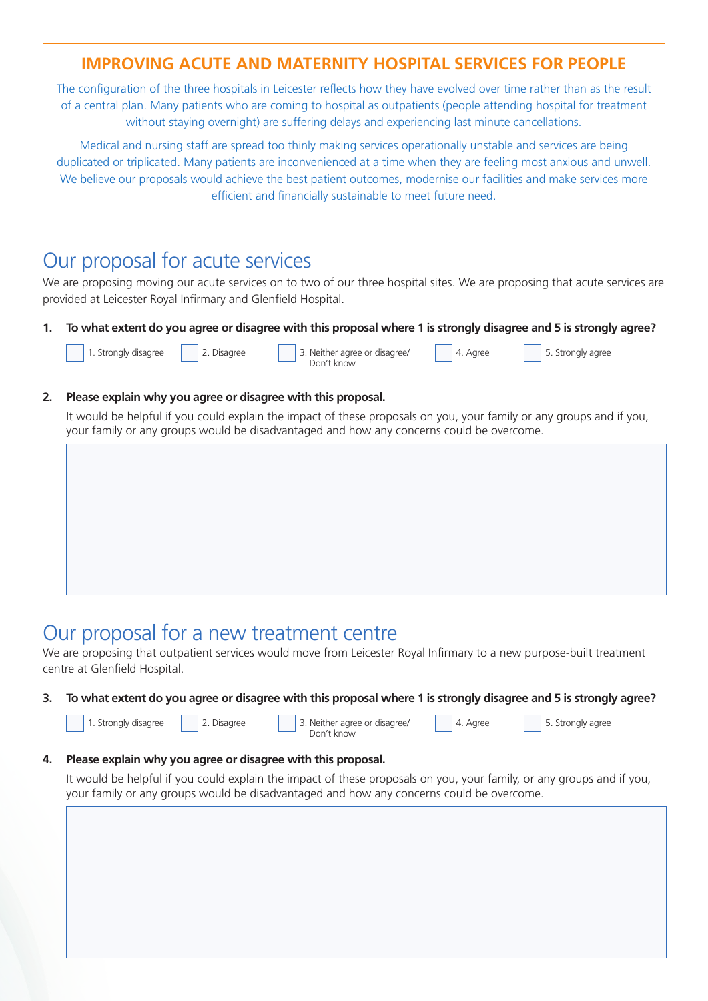### **IMPROVING ACUTE AND MATERNITY HOSPITAL SERVICES FOR PEOPLE**

The configuration of the three hospitals in Leicester reflects how they have evolved over time rather than as the result of a central plan. Many patients who are coming to hospital as outpatients (people attending hospital for treatment without staying overnight) are suffering delays and experiencing last minute cancellations.

Medical and nursing staff are spread too thinly making services operationally unstable and services are being duplicated or triplicated. Many patients are inconvenienced at a time when they are feeling most anxious and unwell. We believe our proposals would achieve the best patient outcomes, modernise our facilities and make services more efficient and financially sustainable to meet future need.

### Our proposal for acute services

We are proposing moving our acute services on to two of our three hospital sites. We are proposing that acute services are provided at Leicester Royal Infirmary and Glenfield Hospital.

**1. To what extent do you agree or disagree with this proposal where 1 is strongly disagree and 5 is strongly agree?**

|  | 1. Strongly disagree | 2. Disagree | 3. Neither agree or disagree/ | 4. Agree |
|--|----------------------|-------------|-------------------------------|----------|
|  |                      |             | Don't know                    |          |

5. Strongly agree

5. Strongly agree

#### **2. Please explain why you agree or disagree with this proposal.**

It would be helpful if you could explain the impact of these proposals on you, your family or any groups and if you, your family or any groups would be disadvantaged and how any concerns could be overcome.

### Our proposal for a new treatment centre

We are proposing that outpatient services would move from Leicester Royal Infirmary to a new purpose-built treatment centre at Glenfield Hospital.

**3. To what extent do you agree or disagree with this proposal where 1 is strongly disagree and 5 is strongly agree?**

| <sup>1</sup> 1. Strongly disagree | 2. Disagree | 3. Neither agree or disagree/ | 4. Agree |
|-----------------------------------|-------------|-------------------------------|----------|
|                                   |             | Don't know                    |          |
|                                   |             |                               |          |

#### **4. Please explain why you agree or disagree with this proposal.**

It would be helpful if you could explain the impact of these proposals on you, your family, or any groups and if you, your family or any groups would be disadvantaged and how any concerns could be overcome.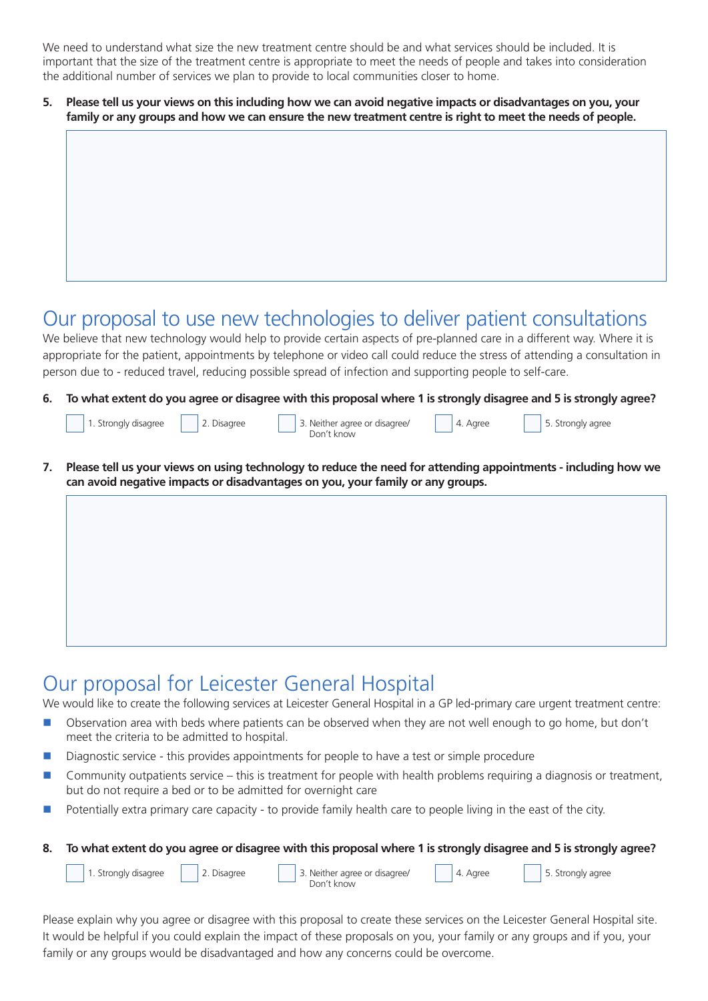We need to understand what size the new treatment centre should be and what services should be included. It is important that the size of the treatment centre is appropriate to meet the needs of people and takes into consideration the additional number of services we plan to provide to local communities closer to home.

**5. Please tell us your views on this including how we can avoid negative impacts or disadvantages on you, your family or any groups and how we can ensure the new treatment centre is right to meet the needs of people.**

### Our proposal to use new technologies to deliver patient consultations

We believe that new technology would help to provide certain aspects of pre-planned care in a different way. Where it is appropriate for the patient, appointments by telephone or video call could reduce the stress of attending a consultation in person due to - reduced travel, reducing possible spread of infection and supporting people to self-care.

**6. To what extent do you agree or disagree with this proposal where 1 is strongly disagree and 5 is strongly agree?**

| 1. Strongly disagree | 2. Disagree | 3. Neither agree or disagree/<br>Jon't know | 4. Agree | 5. Strongly agree |
|----------------------|-------------|---------------------------------------------|----------|-------------------|
|                      |             |                                             |          |                   |

**7. Please tell us your views on using technology to reduce the need for attending appointments - including how we can avoid negative impacts or disadvantages on you, your family or any groups.** 

### Our proposal for Leicester General Hospital

We would like to create the following services at Leicester General Hospital in a GP led-primary care urgent treatment centre:

- n Observation area with beds where patients can be observed when they are not well enough to go home, but don't meet the criteria to be admitted to hospital.
- Diagnostic service this provides appointments for people to have a test or simple procedure
- Community outpatients service this is treatment for people with health problems requiring a diagnosis or treatment, but do not require a bed or to be admitted for overnight care
- Potentially extra primary care capacity to provide family health care to people living in the east of the city.
- **8. To what extent do you agree or disagree with this proposal where 1 is strongly disagree and 5 is strongly agree?**

1. Strongly disagree | 2. Disagree | 3. Neither agree or disagree/ | 4. Agree | 5. Strongly agree Don't know 4. Agree

Please explain why you agree or disagree with this proposal to create these services on the Leicester General Hospital site. It would be helpful if you could explain the impact of these proposals on you, your family or any groups and if you, your family or any groups would be disadvantaged and how any concerns could be overcome.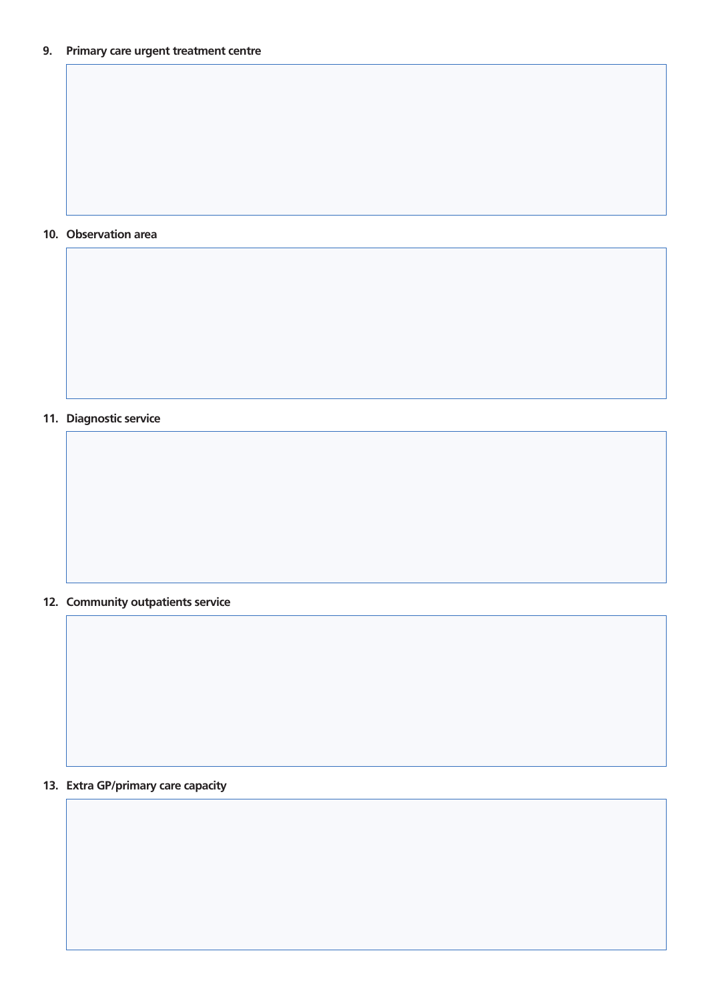#### **10. Observation area**

**11. Diagnostic service**

### **12. Community outpatients service**

### **13. Extra GP/primary care capacity**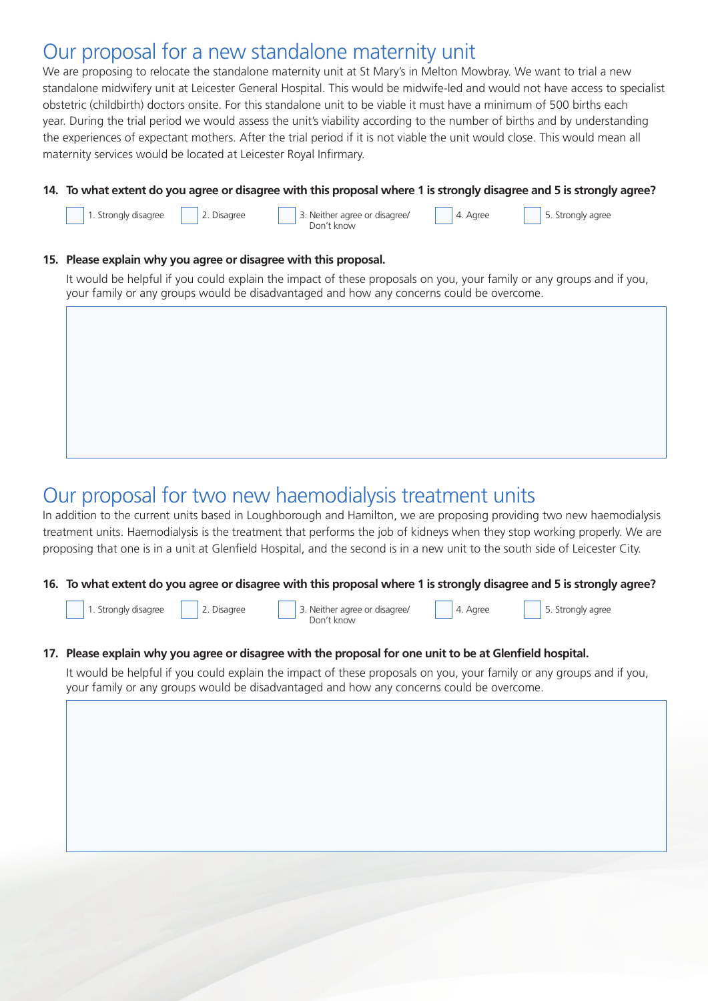### Our proposal for a new standalone maternity unit

We are proposing to relocate the standalone maternity unit at St Mary's in Melton Mowbray. We want to trial a new standalone midwifery unit at Leicester General Hospital. This would be midwife-led and would not have access to specialist obstetric (childbirth) doctors onsite. For this standalone unit to be viable it must have a minimum of 500 births each year. During the trial period we would assess the unit's viability according to the number of births and by understanding the experiences of expectant mothers. After the trial period if it is not viable the unit would close. This would mean all maternity services would be located at Leicester Royal Infirmary.

#### **14. To what extent do you agree or disagree with this proposal where 1 is strongly disagree and 5 is strongly agree?**



It would be helpful if you could explain the impact of these proposals on you, your family or any groups and if you, your family or any groups would be disadvantaged and how any concerns could be overcome.

# Our proposal for two new haemodialysis treatment units

In addition to the current units based in Loughborough and Hamilton, we are proposing providing two new haemodialysis treatment units. Haemodialysis is the treatment that performs the job of kidneys when they stop working properly. We are proposing that one is in a unit at Glenfield Hospital, and the second is in a new unit to the south side of Leicester City.

**16. To what extent do you agree or disagree with this proposal where 1 is strongly disagree and 5 is strongly agree?**



#### **17. Please explain why you agree or disagree with the proposal for one unit to be at Glenfield hospital.**

It would be helpful if you could explain the impact of these proposals on you, your family or any groups and if you, your family or any groups would be disadvantaged and how any concerns could be overcome.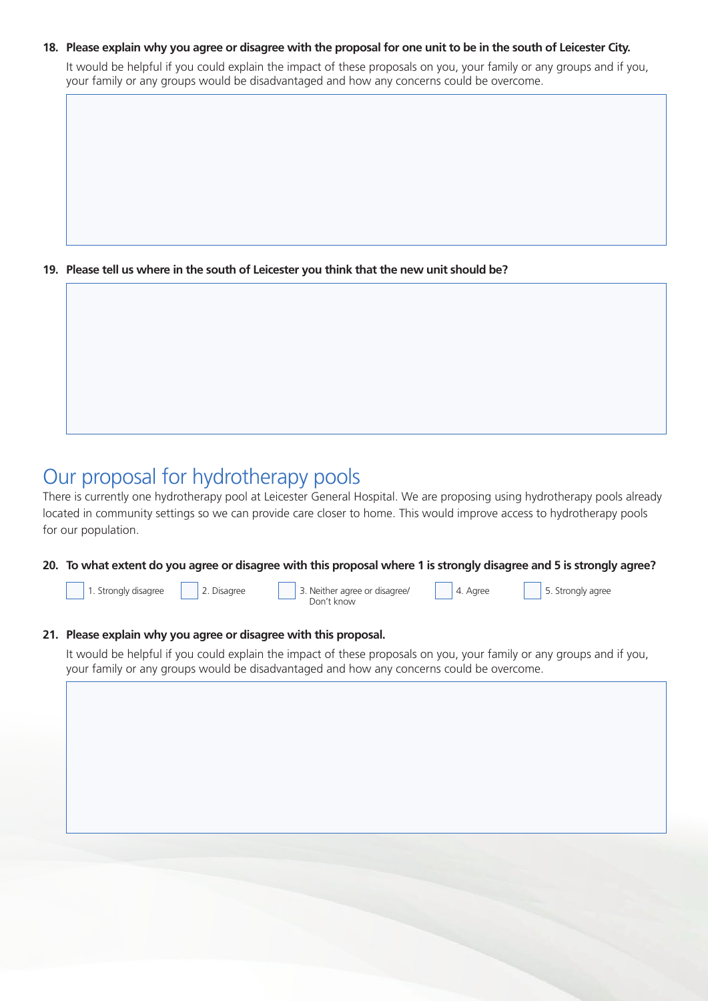#### **18. Please explain why you agree or disagree with the proposal for one unit to be in the south of Leicester City.**

It would be helpful if you could explain the impact of these proposals on you, your family or any groups and if you, your family or any groups would be disadvantaged and how any concerns could be overcome.

**19. Please tell us where in the south of Leicester you think that the new unit should be?**

### Our proposal for hydrotherapy pools

There is currently one hydrotherapy pool at Leicester General Hospital. We are proposing using hydrotherapy pools already located in community settings so we can provide care closer to home. This would improve access to hydrotherapy pools for our population.

#### **20. To what extent do you agree or disagree with this proposal where 1 is strongly disagree and 5 is strongly agree?**



### **21. Please explain why you agree or disagree with this proposal.**

It would be helpful if you could explain the impact of these proposals on you, your family or any groups and if you, your family or any groups would be disadvantaged and how any concerns could be overcome.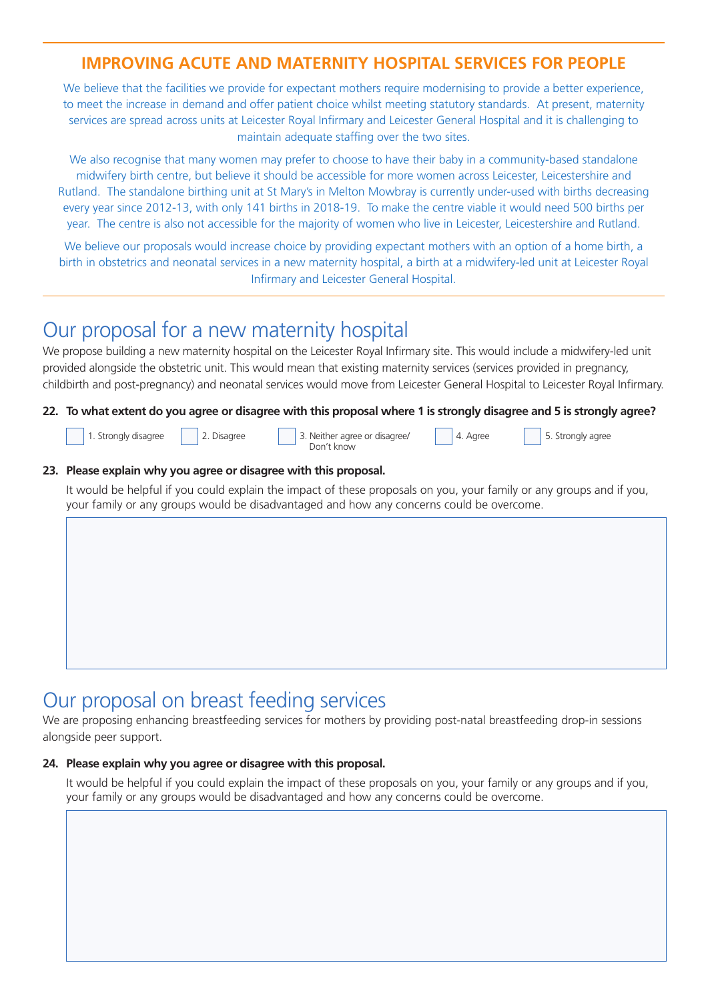### **IMPROVING ACUTE AND MATERNITY HOSPITAL SERVICES FOR PEOPLE**

We believe that the facilities we provide for expectant mothers require modernising to provide a better experience, to meet the increase in demand and offer patient choice whilst meeting statutory standards. At present, maternity services are spread across units at Leicester Royal Infirmary and Leicester General Hospital and it is challenging to maintain adequate staffing over the two sites.

We also recognise that many women may prefer to choose to have their baby in a community-based standalone midwifery birth centre, but believe it should be accessible for more women across Leicester, Leicestershire and Rutland. The standalone birthing unit at St Mary's in Melton Mowbray is currently under-used with births decreasing every year since 2012-13, with only 141 births in 2018-19. To make the centre viable it would need 500 births per year. The centre is also not accessible for the majority of women who live in Leicester, Leicestershire and Rutland.

We believe our proposals would increase choice by providing expectant mothers with an option of a home birth, a birth in obstetrics and neonatal services in a new maternity hospital, a birth at a midwifery-led unit at Leicester Royal Infirmary and Leicester General Hospital.

### Our proposal for a new maternity hospital

We propose building a new maternity hospital on the Leicester Royal Infirmary site. This would include a midwifery-led unit provided alongside the obstetric unit. This would mean that existing maternity services (services provided in pregnancy, childbirth and post-pregnancy) and neonatal services would move from Leicester General Hospital to Leicester Royal Infirmary.

#### **22. To what extent do you agree or disagree with this proposal where 1 is strongly disagree and 5 is strongly agree?**



1. Strongly disagree 2. Disagree 3. Neither agree or disagree/ 3. Neither agree 3. Neither agree 1. 1. Strongly agree Don't know

4. Agree

#### **23. Please explain why you agree or disagree with this proposal.**

It would be helpful if you could explain the impact of these proposals on you, your family or any groups and if you, your family or any groups would be disadvantaged and how any concerns could be overcome.

### Our proposal on breast feeding services

We are proposing enhancing breastfeeding services for mothers by providing post-natal breastfeeding drop-in sessions alongside peer support.

#### **24. Please explain why you agree or disagree with this proposal.**

It would be helpful if you could explain the impact of these proposals on you, your family or any groups and if you, your family or any groups would be disadvantaged and how any concerns could be overcome.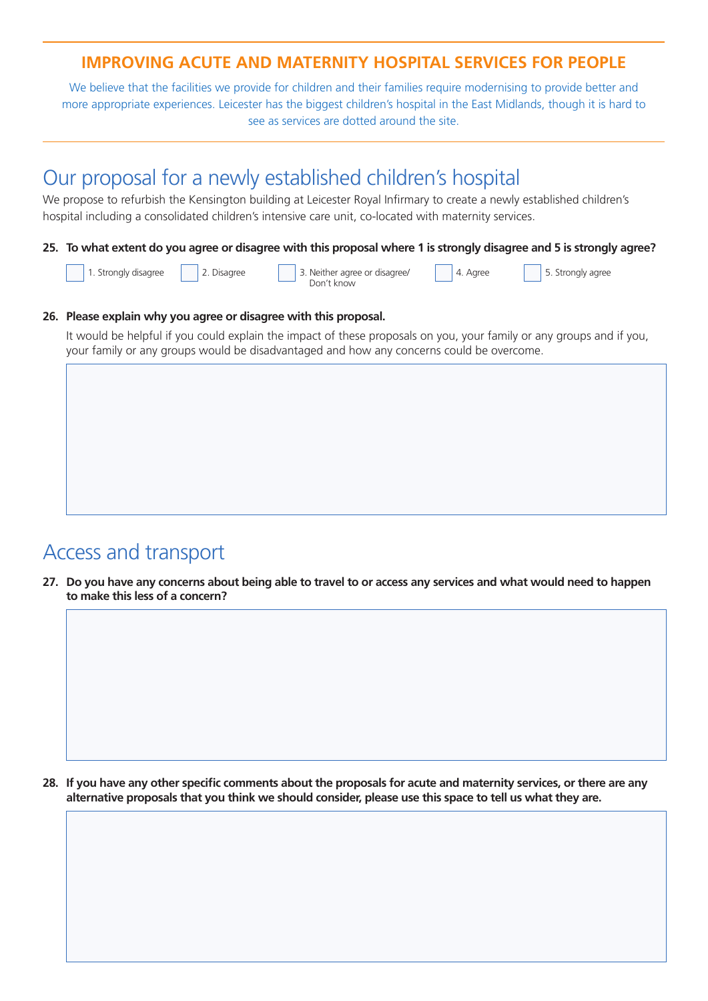### **IMPROVING ACUTE AND MATERNITY HOSPITAL SERVICES FOR PEOPLE**

We believe that the facilities we provide for children and their families require modernising to provide better and more appropriate experiences. Leicester has the biggest children's hospital in the East Midlands, though it is hard to see as services are dotted around the site.

### Our proposal for a newly established children's hospital

We propose to refurbish the Kensington building at Leicester Royal Infirmary to create a newly established children's hospital including a consolidated children's intensive care unit, co-located with maternity services.

#### **25. To what extent do you agree or disagree with this proposal where 1 is strongly disagree and 5 is strongly agree?**

1. Strongly disagree | 2. Disagree | 3. Neither agree or disagree/ | 4. Agree | 5. Strongly agree Don't know

4. Agree

#### **26. Please explain why you agree or disagree with this proposal.**

It would be helpful if you could explain the impact of these proposals on you, your family or any groups and if you, your family or any groups would be disadvantaged and how any concerns could be overcome.

### Access and transport

**27. Do you have any concerns about being able to travel to or access any services and what would need to happen to make this less of a concern?**

**28. If you have any other specific comments about the proposals for acute and maternity services, or there are any alternative proposals that you think we should consider, please use this space to tell us what they are.**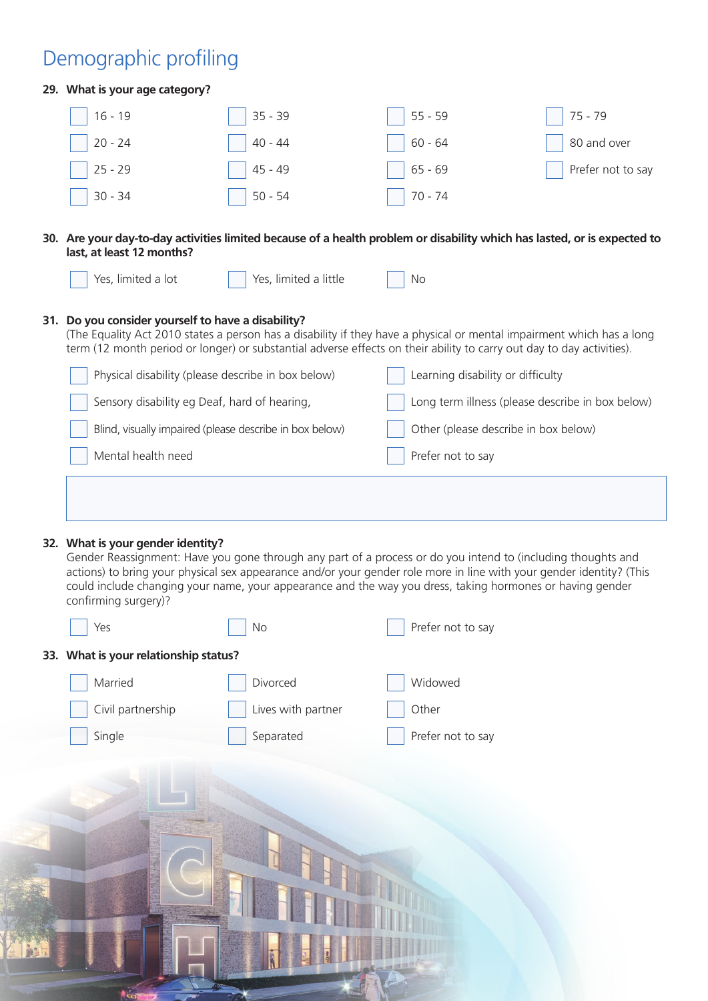# Demographic profiling

 $#6$ 

| 29. What is your age category?                            |                                                                                                                                                                                                                           |                                   |                                                                                                                          |
|-----------------------------------------------------------|---------------------------------------------------------------------------------------------------------------------------------------------------------------------------------------------------------------------------|-----------------------------------|--------------------------------------------------------------------------------------------------------------------------|
| $16 - 19$                                                 | $35 - 39$                                                                                                                                                                                                                 | $55 - 59$                         | $75 - 79$                                                                                                                |
| $20 - 24$                                                 | $40 - 44$                                                                                                                                                                                                                 | $60 - 64$                         | 80 and over                                                                                                              |
| $25 - 29$                                                 | $45 - 49$                                                                                                                                                                                                                 | $65 - 69$                         | Prefer not to say                                                                                                        |
| $30 - 34$                                                 | $50 - 54$                                                                                                                                                                                                                 | $70 - 74$                         |                                                                                                                          |
| last, at least 12 months?                                 |                                                                                                                                                                                                                           |                                   | 30. Are your day-to-day activities limited because of a health problem or disability which has lasted, or is expected to |
| Yes, limited a lot                                        | Yes, limited a little                                                                                                                                                                                                     | No                                |                                                                                                                          |
| 31. Do you consider yourself to have a disability?        | term (12 month period or longer) or substantial adverse effects on their ability to carry out day to day activities).<br>Physical disability (please describe in box below)                                               | Learning disability or difficulty | (The Equality Act 2010 states a person has a disability if they have a physical or mental impairment which has a long    |
| Sensory disability eg Deaf, hard of hearing,              |                                                                                                                                                                                                                           |                                   | Long term illness (please describe in box below)                                                                         |
|                                                           | Blind, visually impaired (please describe in box below)                                                                                                                                                                   |                                   | Other (please describe in box below)                                                                                     |
| Mental health need                                        |                                                                                                                                                                                                                           | Prefer not to say                 |                                                                                                                          |
|                                                           |                                                                                                                                                                                                                           |                                   |                                                                                                                          |
|                                                           |                                                                                                                                                                                                                           |                                   |                                                                                                                          |
|                                                           |                                                                                                                                                                                                                           |                                   |                                                                                                                          |
| 32. What is your gender identity?<br>confirming surgery)? | Gender Reassignment: Have you gone through any part of a process or do you intend to (including thoughts and<br>could include changing your name, your appearance and the way you dress, taking hormones or having gender |                                   | actions) to bring your physical sex appearance and/or your gender role more in line with your gender identity? (This     |
| Yes                                                       | No                                                                                                                                                                                                                        | Prefer not to say                 |                                                                                                                          |
| 33. What is your relationship status?                     |                                                                                                                                                                                                                           |                                   |                                                                                                                          |
| Married                                                   | Divorced                                                                                                                                                                                                                  | Widowed                           |                                                                                                                          |
| Civil partnership                                         | Lives with partner                                                                                                                                                                                                        | Other                             |                                                                                                                          |
| Single                                                    | Separated                                                                                                                                                                                                                 | Prefer not to say                 |                                                                                                                          |
|                                                           |                                                                                                                                                                                                                           |                                   |                                                                                                                          |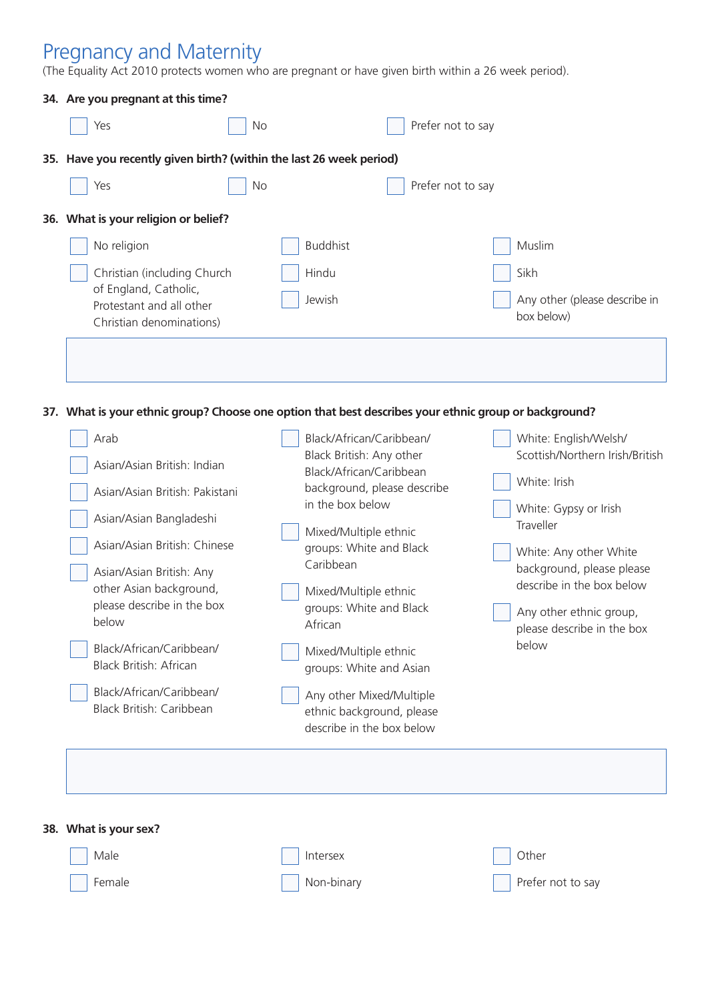### Pregnancy and Maternity

(The Equality Act 2010 protects women who are pregnant or have given birth within a 26 week period).

| 34. Are you pregnant at this time?                                                                    |                                                  |                             |                                                       |
|-------------------------------------------------------------------------------------------------------|--------------------------------------------------|-----------------------------|-------------------------------------------------------|
| Yes                                                                                                   | No                                               | Prefer not to say           |                                                       |
| 35. Have you recently given birth? (within the last 26 week period)                                   |                                                  |                             |                                                       |
| Yes                                                                                                   | No                                               | Prefer not to say           |                                                       |
| 36. What is your religion or belief?                                                                  |                                                  |                             |                                                       |
| No religion                                                                                           | <b>Buddhist</b>                                  |                             | Muslim                                                |
| Christian (including Church                                                                           | Hindu                                            |                             | Sikh                                                  |
| of England, Catholic,                                                                                 |                                                  |                             |                                                       |
| Protestant and all other<br>Christian denominations)                                                  | Jewish                                           |                             | Any other (please describe in<br>box below)           |
|                                                                                                       |                                                  |                             |                                                       |
|                                                                                                       |                                                  |                             |                                                       |
|                                                                                                       |                                                  |                             |                                                       |
| 37. What is your ethnic group? Choose one option that best describes your ethnic group or background? |                                                  |                             |                                                       |
| Arab                                                                                                  | Black/African/Caribbean/                         |                             | White: English/Welsh/                                 |
|                                                                                                       | Black British: Any other                         |                             | Scottish/Northern Irish/British                       |
| Asian/Asian British: Indian                                                                           | Black/African/Caribbean                          |                             | White: Irish                                          |
| Asian/Asian British: Pakistani                                                                        | in the box below                                 | background, please describe |                                                       |
| Asian/Asian Bangladeshi                                                                               |                                                  |                             | White: Gypsy or Irish<br>Traveller                    |
| Asian/Asian British: Chinese                                                                          | Mixed/Multiple ethnic                            |                             |                                                       |
|                                                                                                       | groups: White and Black<br>Caribbean             |                             | White: Any other White<br>background, please please   |
| Asian/Asian British: Any<br>other Asian background,                                                   |                                                  |                             | describe in the box below                             |
| please describe in the box                                                                            | Mixed/Multiple ethnic<br>groups: White and Black |                             |                                                       |
| below                                                                                                 | African                                          |                             | Any other ethnic group,<br>please describe in the box |
| Black/African/Caribbean/                                                                              |                                                  |                             | below                                                 |
| Black British: African                                                                                | Mixed/Multiple ethnic<br>groups: White and Asian |                             |                                                       |
| Black/African/Caribbean/                                                                              | Any other Mixed/Multiple                         |                             |                                                       |
| Black British: Caribbean                                                                              | ethnic background, please                        |                             |                                                       |
|                                                                                                       | describe in the box below                        |                             |                                                       |
|                                                                                                       |                                                  |                             |                                                       |
|                                                                                                       |                                                  |                             |                                                       |
|                                                                                                       |                                                  |                             |                                                       |
|                                                                                                       |                                                  |                             |                                                       |

| $\vert$ Male   | Intersex   | $\vert$ Other            |
|----------------|------------|--------------------------|
| $\vert$ Female | Non-binary | $\Box$ Prefer not to say |